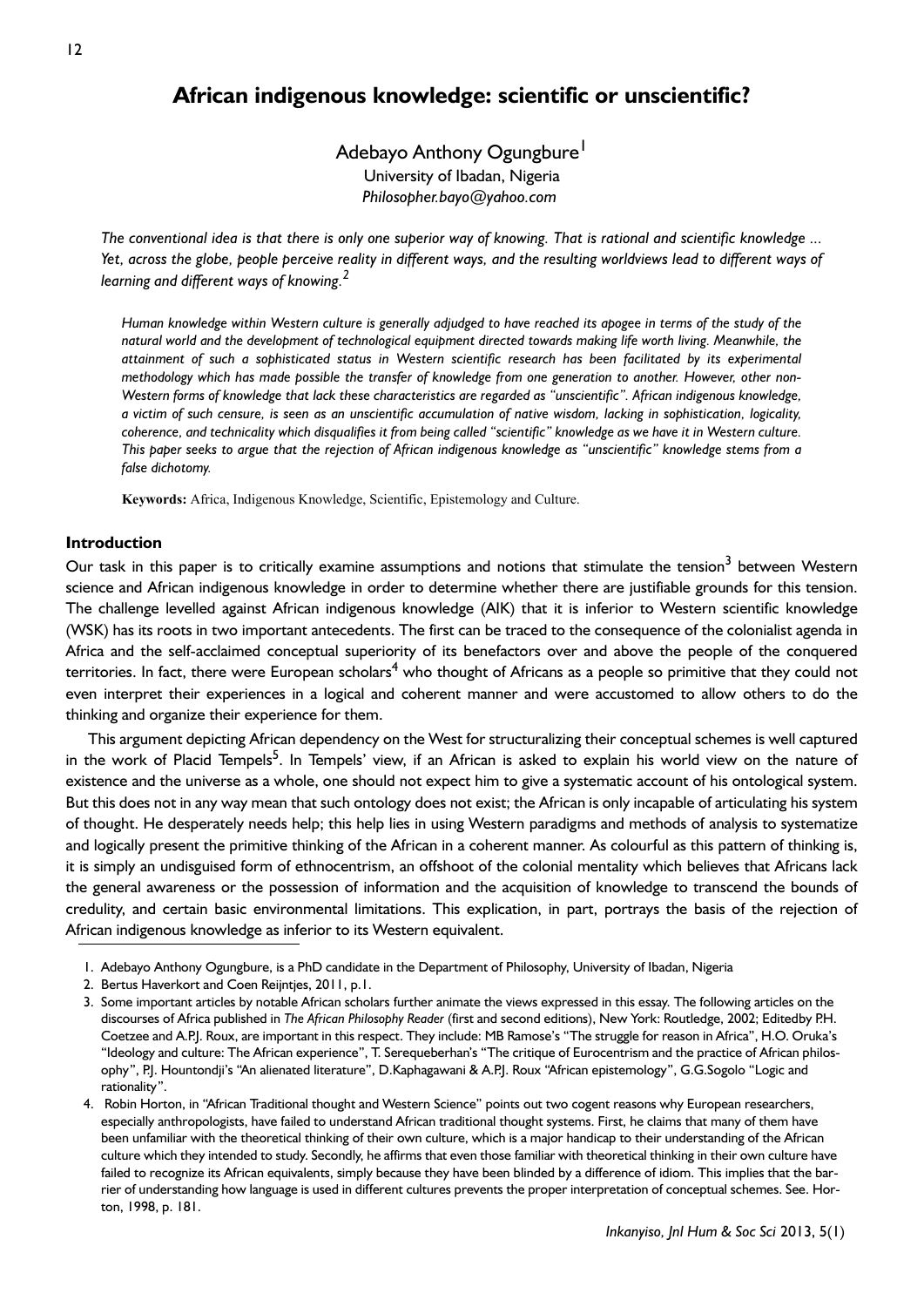# **African indigenous knowledge: scientific or unscientific?**

Adebayo Anthony Ogungbure<sup>1</sup> University of Ibadan, Nigeria *Philosopher.bayo@yahoo.com* 

*The conventional idea is that there is only one superior way of knowing. That is rational and scientific knowledge ... Yet, across the globe, people perceive reality in different ways, and the resulting worldviews lead to different ways of learning and different ways of knowing.<sup>2</sup>*

Human knowledge within Western culture is generally adjudged to have reached its apogee in terms of the study of the *natural world and the development of technological equipment directed towards making life worth living. Meanwhile, the attainment of such a sophisticated status in Western scientific research has been facilitated by its experimental methodology which has made possible the transfer of knowledge from one generation to another. However, other non-Western forms of knowledge that lack these characteristics are regarded as "unscientific". African indigenous knowledge, a victim of such censure, is seen as an unscientific accumulation of native wisdom, lacking in sophistication, logicality, coherence, and technicality which disqualifies it from being called "scientific" knowledge as we have it in Western culture. This paper seeks to argue that the rejection of African indigenous knowledge as "unscientific" knowledge stems from a false dichotomy.*

**Keywords:** Africa, Indigenous Knowledge, Scientific, Epistemology and Culture.

## **Introduction**

Our task in this paper is to critically examine assumptions and notions that stimulate the tension<sup>3</sup> between Western science and African indigenous knowledge in order to determine whether there are justifiable grounds for this tension. The challenge levelled against African indigenous knowledge (AIK) that it is inferior to Western scientific knowledge (WSK) has its roots in two important antecedents. The first can be traced to the consequence of the colonialist agenda in Africa and the self-acclaimed conceptual superiority of its benefactors over and above the people of the conquered territories. In fact, there were European scholars<sup>4</sup> who thought of Africans as a people so primitive that they could not even interpret their experiences in a logical and coherent manner and were accustomed to allow others to do the thinking and organize their experience for them.

This argument depicting African dependency on the West for structuralizing their conceptual schemes is well captured in the work of Placid Tempels<sup>5</sup>. In Tempels' view, if an African is asked to explain his world view on the nature of existence and the universe as a whole, one should not expect him to give a systematic account of his ontological system. But this does not in any way mean that such ontology does not exist; the African is only incapable of articulating his system of thought. He desperately needs help; this help lies in using Western paradigms and methods of analysis to systematize and logically present the primitive thinking of the African in a coherent manner. As colourful as this pattern of thinking is, it is simply an undisguised form of ethnocentrism, an offshoot of the colonial mentality which believes that Africans lack the general awareness or the possession of information and the acquisition of knowledge to transcend the bounds of credulity, and certain basic environmental limitations. This explication, in part, portrays the basis of the rejection of African indigenous knowledge as inferior to its Western equivalent.

<sup>1.</sup> Adebayo Anthony Ogungbure, is a PhD candidate in the Department of Philosophy, University of Ibadan, Nigeria

<sup>2.</sup> Bertus Haverkort and Coen Reijntjes, 2011, p.1.

<sup>3.</sup> Some important articles by notable African scholars further animate the views expressed in this essay. The following articles on the discourses of Africa published in *The African Philosophy Reader* (first and second editions), New York: Routledge, 2002; Editedby P.H. Coetzee and A.P., Roux, are important in this respect. They include: MB Ramose's "The struggle for reason in Africa", H.O. Oruka's "Ideology and culture: The African experience", T. Serequeberhan's "The critique of Eurocentrism and the practice of African philosophy", P.J. Hountondji's "An alienated literature", D.Kaphagawani & A.P.J. Roux "African epistemology", G.G.Sogolo "Logic and rationality".

<sup>4.</sup> Robin Horton, in "African Traditional thought and Western Science" points out two cogent reasons why European researchers, especially anthropologists, have failed to understand African traditional thought systems. First, he claims that many of them have been unfamiliar with the theoretical thinking of their own culture, which is a major handicap to their understanding of the African culture which they intended to study. Secondly, he affirms that even those familiar with theoretical thinking in their own culture have failed to recognize its African equivalents, simply because they have been blinded by a difference of idiom. This implies that the barrier of understanding how language is used in different cultures prevents the proper interpretation of conceptual schemes. See. Horton, 1998, p. 181.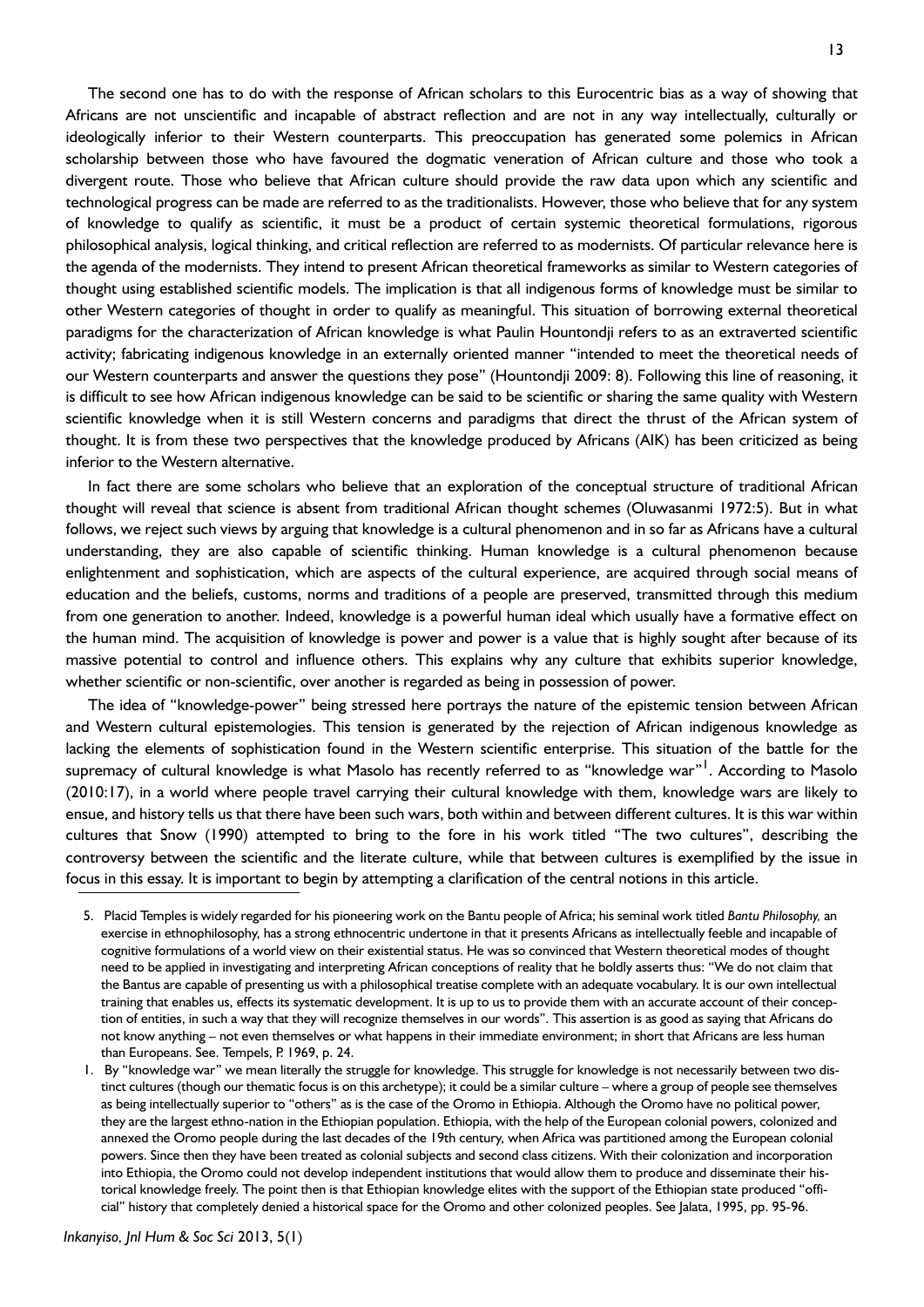The second one has to do with the response of African scholars to this Eurocentric bias as a way of showing that Africans are not unscientific and incapable of abstract reflection and are not in any way intellectually, culturally or ideologically inferior to their Western counterparts. This preoccupation has generated some polemics in African scholarship between those who have favoured the dogmatic veneration of African culture and those who took a divergent route. Those who believe that African culture should provide the raw data upon which any scientific and technological progress can be made are referred to as the traditionalists. However, those who believe that for any system of knowledge to qualify as scientific, it must be a product of certain systemic theoretical formulations, rigorous philosophical analysis, logical thinking, and critical reflection are referred to as modernists. Of particular relevance here is the agenda of the modernists. They intend to present African theoretical frameworks as similar to Western categories of thought using established scientific models. The implication is that all indigenous forms of knowledge must be similar to other Western categories of thought in order to qualify as meaningful. This situation of borrowing external theoretical paradigms for the characterization of African knowledge is what Paulin Hountondji refers to as an extraverted scientific activity; fabricating indigenous knowledge in an externally oriented manner "intended to meet the theoretical needs of our Western counterparts and answer the questions they pose" (Hountondji 2009: 8). Following this line of reasoning, it is difficult to see how African indigenous knowledge can be said to be scientific or sharing the same quality with Western scientific knowledge when it is still Western concerns and paradigms that direct the thrust of the African system of thought. It is from these two perspectives that the knowledge produced by Africans (AIK) has been criticized as being inferior to the Western alternative.

In fact there are some scholars who believe that an exploration of the conceptual structure of traditional African thought will reveal that science is absent from traditional African thought schemes (Oluwasanmi 1972:5). But in what follows, we reject such views by arguing that knowledge is a cultural phenomenon and in so far as Africans have a cultural understanding, they are also capable of scientific thinking. Human knowledge is a cultural phenomenon because enlightenment and sophistication, which are aspects of the cultural experience, are acquired through social means of education and the beliefs, customs, norms and traditions of a people are preserved, transmitted through this medium from one generation to another. Indeed, knowledge is a powerful human ideal which usually have a formative effect on the human mind. The acquisition of knowledge is power and power is a value that is highly sought after because of its massive potential to control and influence others. This explains why any culture that exhibits superior knowledge, whether scientific or non-scientific, over another is regarded as being in possession of power.

The idea of "knowledge-power" being stressed here portrays the nature of the epistemic tension between African and Western cultural epistemologies. This tension is generated by the rejection of African indigenous knowledge as lacking the elements of sophistication found in the Western scientific enterprise. This situation of the battle for the supremacy of cultural knowledge is what Masolo has recently referred to as "knowledge war"<sup>1</sup>. According to Masolo (2010:17), in a world where people travel carrying their cultural knowledge with them, knowledge wars are likely to ensue, and history tells us that there have been such wars, both within and between different cultures. It is this war within cultures that Snow (1990) attempted to bring to the fore in his work titled "The two cultures", describing the controversy between the scientific and the literate culture, while that between cultures is exemplified by the issue in focus in this essay. It is important to begin by attempting a clarification of the central notions in this article.

<sup>5.</sup> Placid Temples is widely regarded for his pioneering work on the Bantu people of Africa; his seminal work titled *Bantu Philosophy,* an exercise in ethnophilosophy, has a strong ethnocentric undertone in that it presents Africans as intellectually feeble and incapable of cognitive formulations of a world view on their existential status. He was so convinced that Western theoretical modes of thought need to be applied in investigating and interpreting African conceptions of reality that he boldly asserts thus: "We do not claim that the Bantus are capable of presenting us with a philosophical treatise complete with an adequate vocabulary. It is our own intellectual training that enables us, effects its systematic development. It is up to us to provide them with an accurate account of their conception of entities, in such a way that they will recognize themselves in our words". This assertion is as good as saying that Africans do not know anything – not even themselves or what happens in their immediate environment; in short that Africans are less human than Europeans. See. Tempels, P. 1969, p. 24.

<sup>1.</sup> By "knowledge war" we mean literally the struggle for knowledge. This struggle for knowledge is not necessarily between two distinct cultures (though our thematic focus is on this archetype); it could be a similar culture – where a group of people see themselves as being intellectually superior to "others" as is the case of the Oromo in Ethiopia. Although the Oromo have no political power, they are the largest ethno-nation in the Ethiopian population. Ethiopia, with the help of the European colonial powers, colonized and annexed the Oromo people during the last decades of the 19th century, when Africa was partitioned among the European colonial powers. Since then they have been treated as colonial subjects and second class citizens. With their colonization and incorporation into Ethiopia, the Oromo could not develop independent institutions that would allow them to produce and disseminate their historical knowledge freely. The point then is that Ethiopian knowledge elites with the support of the Ethiopian state produced "official" history that completely denied a historical space for the Oromo and other colonized peoples. See Jalata, 1995, pp. 95-96.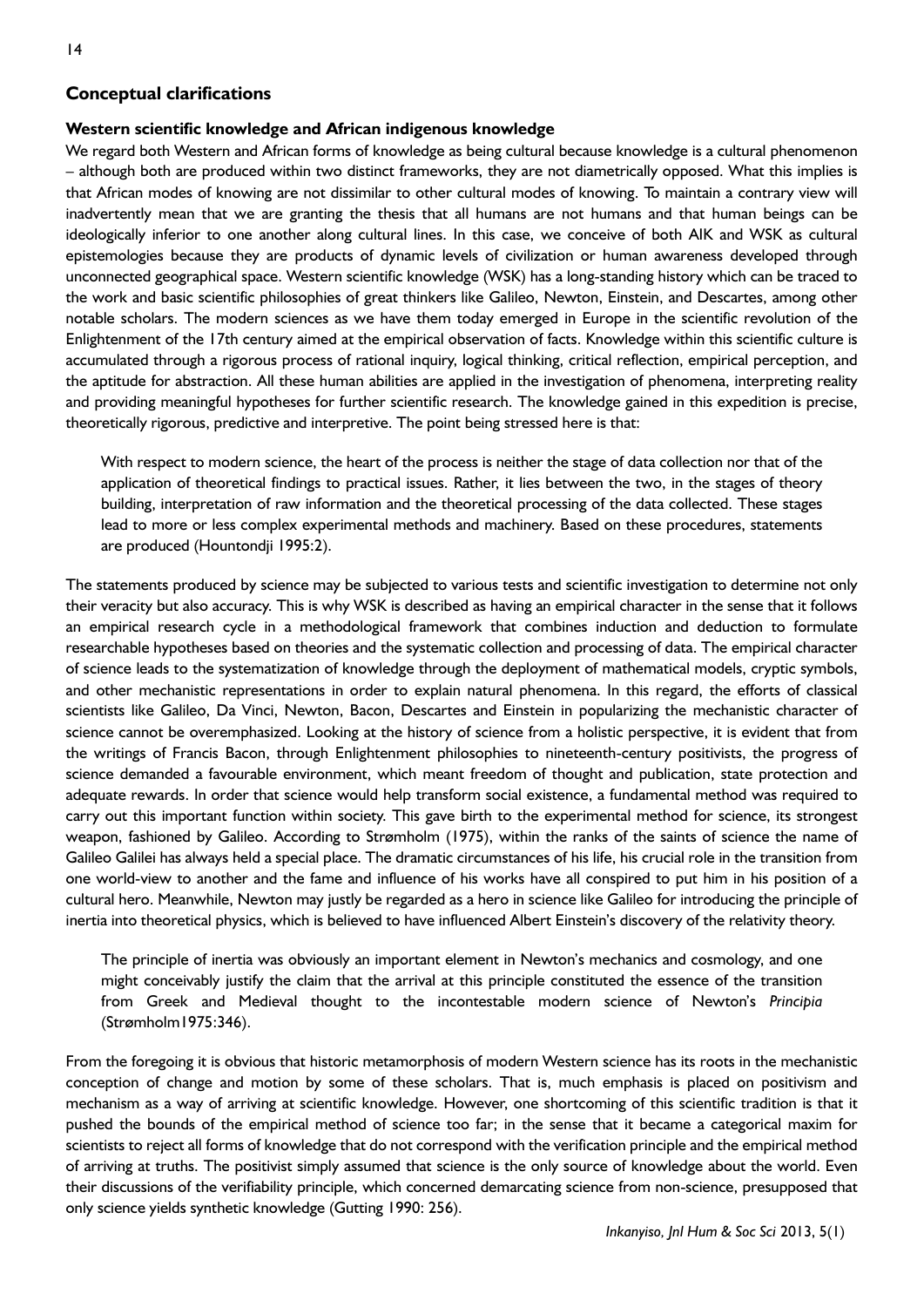# **Conceptual clarifications**

#### **Western scientific knowledge and African indigenous knowledge**

We regard both Western and African forms of knowledge as being cultural because knowledge is a cultural phenomenon – although both are produced within two distinct frameworks, they are not diametrically opposed. What this implies is that African modes of knowing are not dissimilar to other cultural modes of knowing. To maintain a contrary view will inadvertently mean that we are granting the thesis that all humans are not humans and that human beings can be ideologically inferior to one another along cultural lines. In this case, we conceive of both AIK and WSK as cultural epistemologies because they are products of dynamic levels of civilization or human awareness developed through unconnected geographical space. Western scientific knowledge (WSK) has a long-standing history which can be traced to the work and basic scientific philosophies of great thinkers like Galileo, Newton, Einstein, and Descartes, among other notable scholars. The modern sciences as we have them today emerged in Europe in the scientific revolution of the Enlightenment of the 17th century aimed at the empirical observation of facts. Knowledge within this scientific culture is accumulated through a rigorous process of rational inquiry, logical thinking, critical reflection, empirical perception, and the aptitude for abstraction. All these human abilities are applied in the investigation of phenomena, interpreting reality and providing meaningful hypotheses for further scientific research. The knowledge gained in this expedition is precise, theoretically rigorous, predictive and interpretive. The point being stressed here is that:

With respect to modern science, the heart of the process is neither the stage of data collection nor that of the application of theoretical findings to practical issues. Rather, it lies between the two, in the stages of theory building, interpretation of raw information and the theoretical processing of the data collected. These stages lead to more or less complex experimental methods and machinery. Based on these procedures, statements are produced (Hountondji 1995:2).

The statements produced by science may be subjected to various tests and scientific investigation to determine not only their veracity but also accuracy. This is why WSK is described as having an empirical character in the sense that it follows an empirical research cycle in a methodological framework that combines induction and deduction to formulate researchable hypotheses based on theories and the systematic collection and processing of data. The empirical character of science leads to the systematization of knowledge through the deployment of mathematical models, cryptic symbols, and other mechanistic representations in order to explain natural phenomena. In this regard, the efforts of classical scientists like Galileo, Da Vinci, Newton, Bacon, Descartes and Einstein in popularizing the mechanistic character of science cannot be overemphasized. Looking at the history of science from a holistic perspective, it is evident that from the writings of Francis Bacon, through Enlightenment philosophies to nineteenth-century positivists, the progress of science demanded a favourable environment, which meant freedom of thought and publication, state protection and adequate rewards. In order that science would help transform social existence, a fundamental method was required to carry out this important function within society. This gave birth to the experimental method for science, its strongest weapon, fashioned by Galileo. According to Strømholm (1975), within the ranks of the saints of science the name of Galileo Galilei has always held a special place. The dramatic circumstances of his life, his crucial role in the transition from one world-view to another and the fame and influence of his works have all conspired to put him in his position of a cultural hero. Meanwhile, Newton may justly be regarded as a hero in science like Galileo for introducing the principle of inertia into theoretical physics, which is believed to have influenced Albert Einstein's discovery of the relativity theory.

The principle of inertia was obviously an important element in Newton's mechanics and cosmology, and one might conceivably justify the claim that the arrival at this principle constituted the essence of the transition from Greek and Medieval thought to the incontestable modern science of Newton's *Principia* (Strømholm1975:346).

From the foregoing it is obvious that historic metamorphosis of modern Western science has its roots in the mechanistic conception of change and motion by some of these scholars. That is, much emphasis is placed on positivism and mechanism as a way of arriving at scientific knowledge. However, one shortcoming of this scientific tradition is that it pushed the bounds of the empirical method of science too far; in the sense that it became a categorical maxim for scientists to reject all forms of knowledge that do not correspond with the verification principle and the empirical method of arriving at truths. The positivist simply assumed that science is the only source of knowledge about the world. Even their discussions of the verifiability principle, which concerned demarcating science from non-science, presupposed that only science yields synthetic knowledge (Gutting 1990: 256).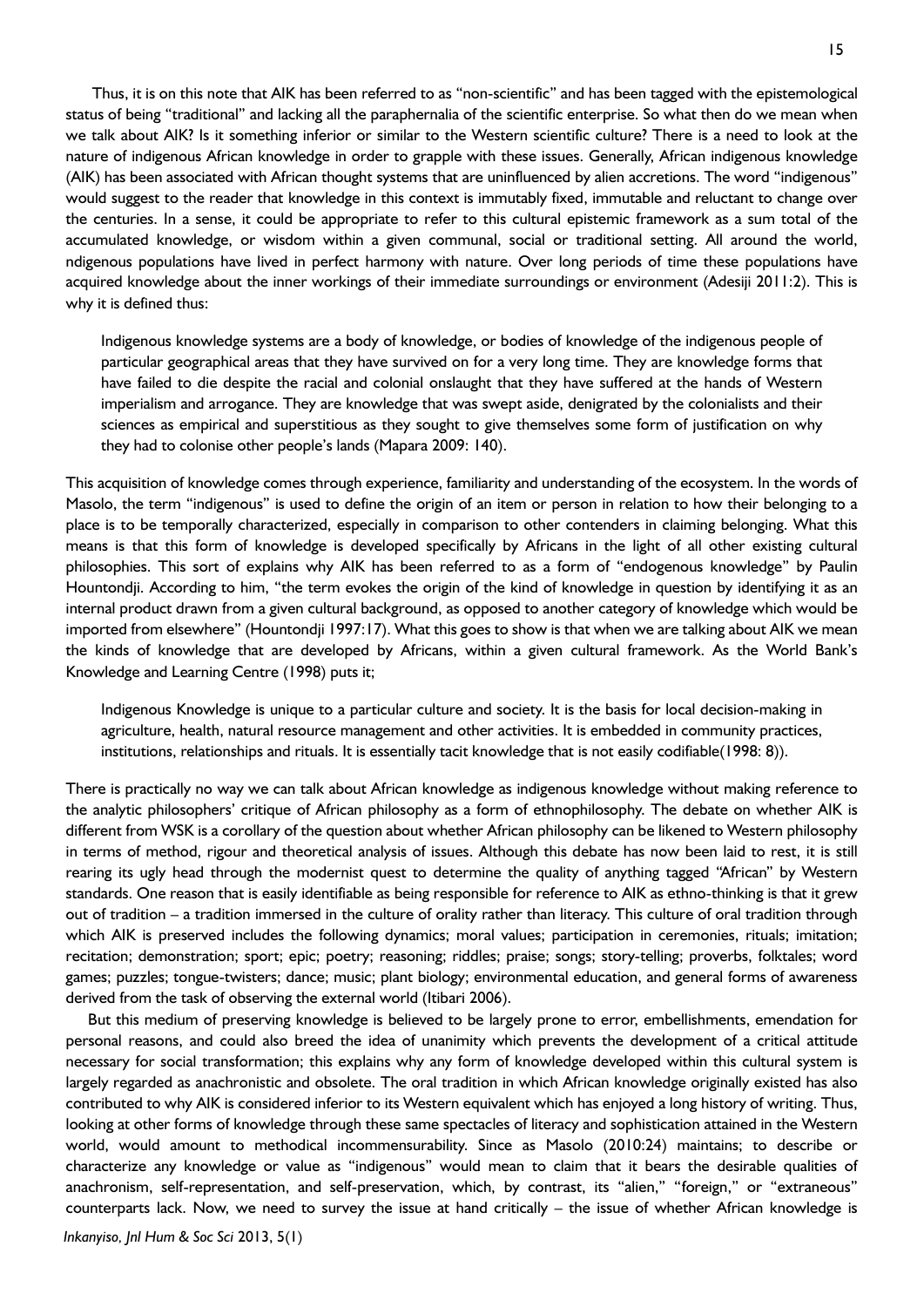Thus, it is on this note that AIK has been referred to as "non-scientific" and has been tagged with the epistemological status of being "traditional" and lacking all the paraphernalia of the scientific enterprise. So what then do we mean when we talk about AIK? Is it something inferior or similar to the Western scientific culture? There is a need to look at the nature of indigenous African knowledge in order to grapple with these issues. Generally, African indigenous knowledge (AIK) has been associated with African thought systems that are uninfluenced by alien accretions. The word "indigenous" would suggest to the reader that knowledge in this context is immutably fixed, immutable and reluctant to change over the centuries. In a sense, it could be appropriate to refer to this cultural epistemic framework as a sum total of the accumulated knowledge, or wisdom within a given communal, social or traditional setting. All around the world, ndigenous populations have lived in perfect harmony with nature. Over long periods of time these populations have acquired knowledge about the inner workings of their immediate surroundings or environment (Adesiji 2011:2). This is why it is defined thus:

Indigenous knowledge systems are a body of knowledge, or bodies of knowledge of the indigenous people of particular geographical areas that they have survived on for a very long time. They are knowledge forms that have failed to die despite the racial and colonial onslaught that they have suffered at the hands of Western imperialism and arrogance. They are knowledge that was swept aside, denigrated by the colonialists and their sciences as empirical and superstitious as they sought to give themselves some form of justification on why they had to colonise other people's lands (Mapara 2009: 140).

This acquisition of knowledge comes through experience, familiarity and understanding of the ecosystem. In the words of Masolo, the term "indigenous" is used to define the origin of an item or person in relation to how their belonging to a place is to be temporally characterized, especially in comparison to other contenders in claiming belonging. What this means is that this form of knowledge is developed specifically by Africans in the light of all other existing cultural philosophies. This sort of explains why AIK has been referred to as a form of "endogenous knowledge" by Paulin Hountondji. According to him, "the term evokes the origin of the kind of knowledge in question by identifying it as an internal product drawn from a given cultural background, as opposed to another category of knowledge which would be imported from elsewhere" (Hountondji 1997:17). What this goes to show is that when we are talking about AIK we mean the kinds of knowledge that are developed by Africans, within a given cultural framework. As the World Bank's Knowledge and Learning Centre (1998) puts it;

Indigenous Knowledge is unique to a particular culture and society. It is the basis for local decision-making in agriculture, health, natural resource management and other activities. It is embedded in community practices, institutions, relationships and rituals. It is essentially tacit knowledge that is not easily codifiable(1998: 8)).

There is practically no way we can talk about African knowledge as indigenous knowledge without making reference to the analytic philosophers' critique of African philosophy as a form of ethnophilosophy. The debate on whether AIK is different from WSK is a corollary of the question about whether African philosophy can be likened to Western philosophy in terms of method, rigour and theoretical analysis of issues. Although this debate has now been laid to rest, it is still rearing its ugly head through the modernist quest to determine the quality of anything tagged "African" by Western standards. One reason that is easily identifiable as being responsible for reference to AIK as ethno-thinking is that it grew out of tradition – a tradition immersed in the culture of orality rather than literacy. This culture of oral tradition through which AIK is preserved includes the following dynamics; moral values; participation in ceremonies, rituals; imitation; recitation; demonstration; sport; epic; poetry; reasoning; riddles; praise; songs; story-telling; proverbs, folktales; word games; puzzles; tongue-twisters; dance; music; plant biology; environmental education, and general forms of awareness derived from the task of observing the external world (Itibari 2006).

But this medium of preserving knowledge is believed to be largely prone to error, embellishments, emendation for personal reasons, and could also breed the idea of unanimity which prevents the development of a critical attitude necessary for social transformation; this explains why any form of knowledge developed within this cultural system is largely regarded as anachronistic and obsolete. The oral tradition in which African knowledge originally existed has also contributed to why AIK is considered inferior to its Western equivalent which has enjoyed a long history of writing. Thus, looking at other forms of knowledge through these same spectacles of literacy and sophistication attained in the Western world, would amount to methodical incommensurability. Since as Masolo (2010:24) maintains; to describe or characterize any knowledge or value as "indigenous" would mean to claim that it bears the desirable qualities of anachronism, self-representation, and self-preservation, which, by contrast, its "alien," "foreign," or "extraneous" counterparts lack. Now, we need to survey the issue at hand critically – the issue of whether African knowledge is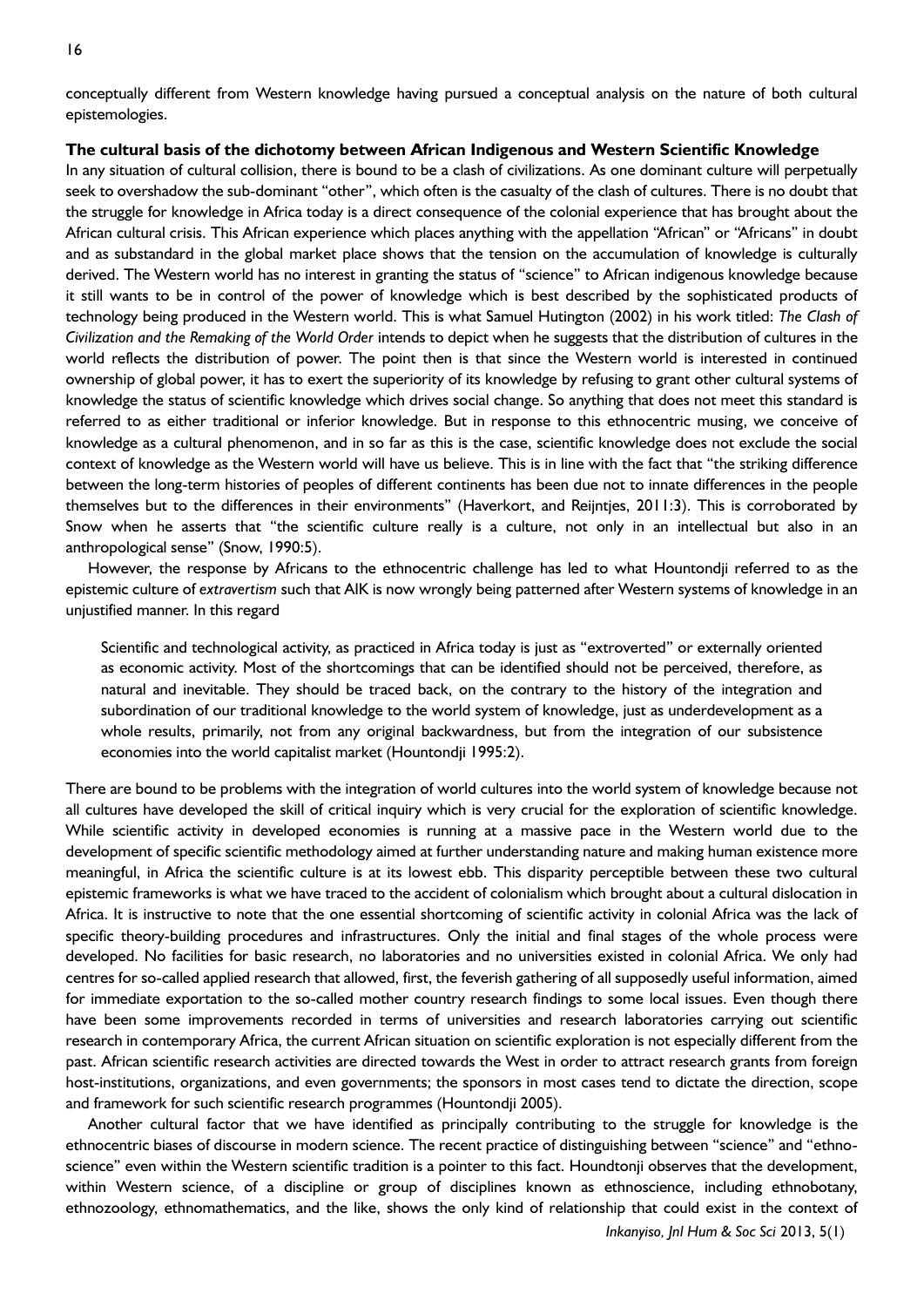conceptually different from Western knowledge having pursued a conceptual analysis on the nature of both cultural epistemologies.

## **The cultural basis of the dichotomy between African Indigenous and Western Scientific Knowledge**

In any situation of cultural collision, there is bound to be a clash of civilizations. As one dominant culture will perpetually seek to overshadow the sub-dominant "other", which often is the casualty of the clash of cultures. There is no doubt that the struggle for knowledge in Africa today is a direct consequence of the colonial experience that has brought about the African cultural crisis. This African experience which places anything with the appellation "African" or "Africans" in doubt and as substandard in the global market place shows that the tension on the accumulation of knowledge is culturally derived. The Western world has no interest in granting the status of "science" to African indigenous knowledge because it still wants to be in control of the power of knowledge which is best described by the sophisticated products of technology being produced in the Western world. This is what Samuel Hutington (2002) in his work titled: *The Clash of Civilization and the Remaking of the World Order* intends to depict when he suggests that the distribution of cultures in the world reflects the distribution of power. The point then is that since the Western world is interested in continued ownership of global power, it has to exert the superiority of its knowledge by refusing to grant other cultural systems of knowledge the status of scientific knowledge which drives social change. So anything that does not meet this standard is referred to as either traditional or inferior knowledge. But in response to this ethnocentric musing, we conceive of knowledge as a cultural phenomenon, and in so far as this is the case, scientific knowledge does not exclude the social context of knowledge as the Western world will have us believe. This is in line with the fact that "the striking difference between the long-term histories of peoples of different continents has been due not to innate differences in the people themselves but to the differences in their environments" (Haverkort, and Reijntjes, 2011:3). This is corroborated by Snow when he asserts that "the scientific culture really is a culture, not only in an intellectual but also in an anthropological sense" (Snow, 1990:5).

However, the response by Africans to the ethnocentric challenge has led to what Hountondji referred to as the epistemic culture of *extravertism* such that AIK is now wrongly being patterned after Western systems of knowledge in an unjustified manner. In this regard

Scientific and technological activity, as practiced in Africa today is just as "extroverted" or externally oriented as economic activity. Most of the shortcomings that can be identified should not be perceived, therefore, as natural and inevitable. They should be traced back, on the contrary to the history of the integration and subordination of our traditional knowledge to the world system of knowledge, just as underdevelopment as a whole results, primarily, not from any original backwardness, but from the integration of our subsistence economies into the world capitalist market (Hountondji 1995:2).

There are bound to be problems with the integration of world cultures into the world system of knowledge because not all cultures have developed the skill of critical inquiry which is very crucial for the exploration of scientific knowledge. While scientific activity in developed economies is running at a massive pace in the Western world due to the development of specific scientific methodology aimed at further understanding nature and making human existence more meaningful, in Africa the scientific culture is at its lowest ebb. This disparity perceptible between these two cultural epistemic frameworks is what we have traced to the accident of colonialism which brought about a cultural dislocation in Africa. It is instructive to note that the one essential shortcoming of scientific activity in colonial Africa was the lack of specific theory-building procedures and infrastructures. Only the initial and final stages of the whole process were developed. No facilities for basic research, no laboratories and no universities existed in colonial Africa. We only had centres for so-called applied research that allowed, first, the feverish gathering of all supposedly useful information, aimed for immediate exportation to the so-called mother country research findings to some local issues. Even though there have been some improvements recorded in terms of universities and research laboratories carrying out scientific research in contemporary Africa, the current African situation on scientific exploration is not especially different from the past. African scientific research activities are directed towards the West in order to attract research grants from foreign host-institutions, organizations, and even governments; the sponsors in most cases tend to dictate the direction, scope and framework for such scientific research programmes (Hountondji 2005).

Another cultural factor that we have identified as principally contributing to the struggle for knowledge is the ethnocentric biases of discourse in modern science. The recent practice of distinguishing between "science" and "ethnoscience" even within the Western scientific tradition is a pointer to this fact. Houndtonji observes that the development, within Western science, of a discipline or group of disciplines known as ethnoscience, including ethnobotany, ethnozoology, ethnomathematics, and the like, shows the only kind of relationship that could exist in the context of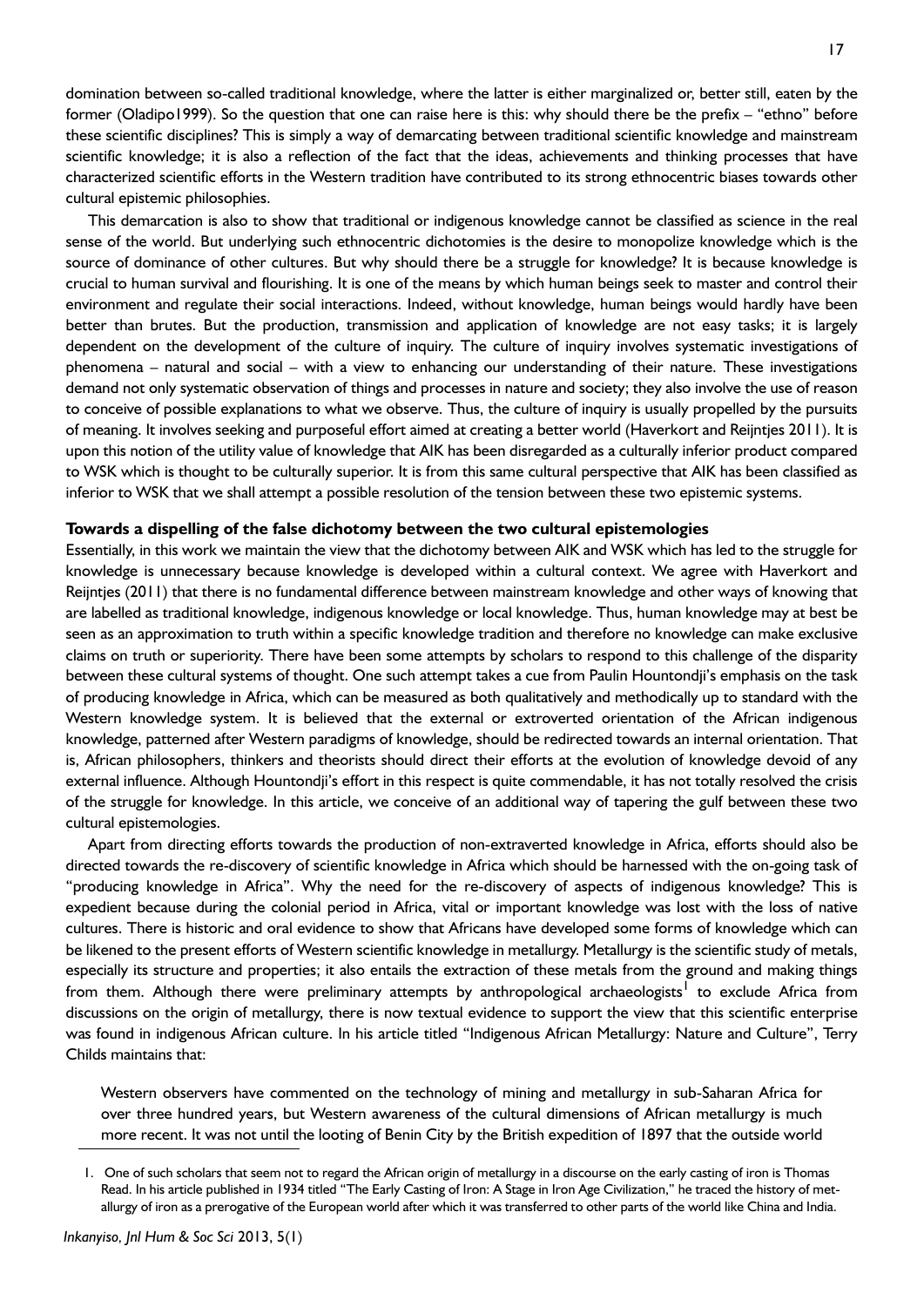domination between so-called traditional knowledge, where the latter is either marginalized or, better still, eaten by the former (Oladipo1999). So the question that one can raise here is this: why should there be the prefix – "ethno" before these scientific disciplines? This is simply a way of demarcating between traditional scientific knowledge and mainstream scientific knowledge; it is also a reflection of the fact that the ideas, achievements and thinking processes that have characterized scientific efforts in the Western tradition have contributed to its strong ethnocentric biases towards other cultural epistemic philosophies.

This demarcation is also to show that traditional or indigenous knowledge cannot be classified as science in the real sense of the world. But underlying such ethnocentric dichotomies is the desire to monopolize knowledge which is the source of dominance of other cultures. But why should there be a struggle for knowledge? It is because knowledge is crucial to human survival and flourishing. It is one of the means by which human beings seek to master and control their environment and regulate their social interactions. Indeed, without knowledge, human beings would hardly have been better than brutes. But the production, transmission and application of knowledge are not easy tasks; it is largely dependent on the development of the culture of inquiry. The culture of inquiry involves systematic investigations of phenomena – natural and social – with a view to enhancing our understanding of their nature. These investigations demand not only systematic observation of things and processes in nature and society; they also involve the use of reason to conceive of possible explanations to what we observe. Thus, the culture of inquiry is usually propelled by the pursuits of meaning. It involves seeking and purposeful effort aimed at creating a better world (Haverkort and Reijntjes 2011). It is upon this notion of the utility value of knowledge that AIK has been disregarded as a culturally inferior product compared to WSK which is thought to be culturally superior. It is from this same cultural perspective that AIK has been classified as inferior to WSK that we shall attempt a possible resolution of the tension between these two epistemic systems.

#### **Towards a dispelling of the false dichotomy between the two cultural epistemologies**

Essentially, in this work we maintain the view that the dichotomy between AIK and WSK which has led to the struggle for knowledge is unnecessary because knowledge is developed within a cultural context. We agree with Haverkort and Reijntjes (2011) that there is no fundamental difference between mainstream knowledge and other ways of knowing that are labelled as traditional knowledge, indigenous knowledge or local knowledge. Thus, human knowledge may at best be seen as an approximation to truth within a specific knowledge tradition and therefore no knowledge can make exclusive claims on truth or superiority. There have been some attempts by scholars to respond to this challenge of the disparity between these cultural systems of thought. One such attempt takes a cue from Paulin Hountondji's emphasis on the task of producing knowledge in Africa, which can be measured as both qualitatively and methodically up to standard with the Western knowledge system. It is believed that the external or extroverted orientation of the African indigenous knowledge, patterned after Western paradigms of knowledge, should be redirected towards an internal orientation. That is, African philosophers, thinkers and theorists should direct their efforts at the evolution of knowledge devoid of any external influence. Although Hountondji's effort in this respect is quite commendable, it has not totally resolved the crisis of the struggle for knowledge. In this article, we conceive of an additional way of tapering the gulf between these two cultural epistemologies.

Apart from directing efforts towards the production of non-extraverted knowledge in Africa, efforts should also be directed towards the re-discovery of scientific knowledge in Africa which should be harnessed with the on-going task of "producing knowledge in Africa". Why the need for the re-discovery of aspects of indigenous knowledge? This is expedient because during the colonial period in Africa, vital or important knowledge was lost with the loss of native cultures. There is historic and oral evidence to show that Africans have developed some forms of knowledge which can be likened to the present efforts of Western scientific knowledge in metallurgy. Metallurgy is the scientific study of metals, especially its structure and properties; it also entails the extraction of these metals from the ground and making things from them. Although there were preliminary attempts by anthropological archaeologists<sup>1</sup> to exclude Africa from discussions on the origin of metallurgy, there is now textual evidence to support the view that this scientific enterprise was found in indigenous African culture. In his article titled "Indigenous African Metallurgy: Nature and Culture", Terry Childs maintains that:

Western observers have commented on the technology of mining and metallurgy in sub-Saharan Africa for over three hundred years, but Western awareness of the cultural dimensions of African metallurgy is much more recent. It was not until the looting of Benin City by the British expedition of 1897 that the outside world

<sup>1.</sup> One of such scholars that seem not to regard the African origin of metallurgy in a discourse on the early casting of iron is Thomas Read. In his article published in 1934 titled "The Early Casting of Iron: A Stage in Iron Age Civilization," he traced the history of metallurgy of iron as a prerogative of the European world after which it was transferred to other parts of the world like China and India.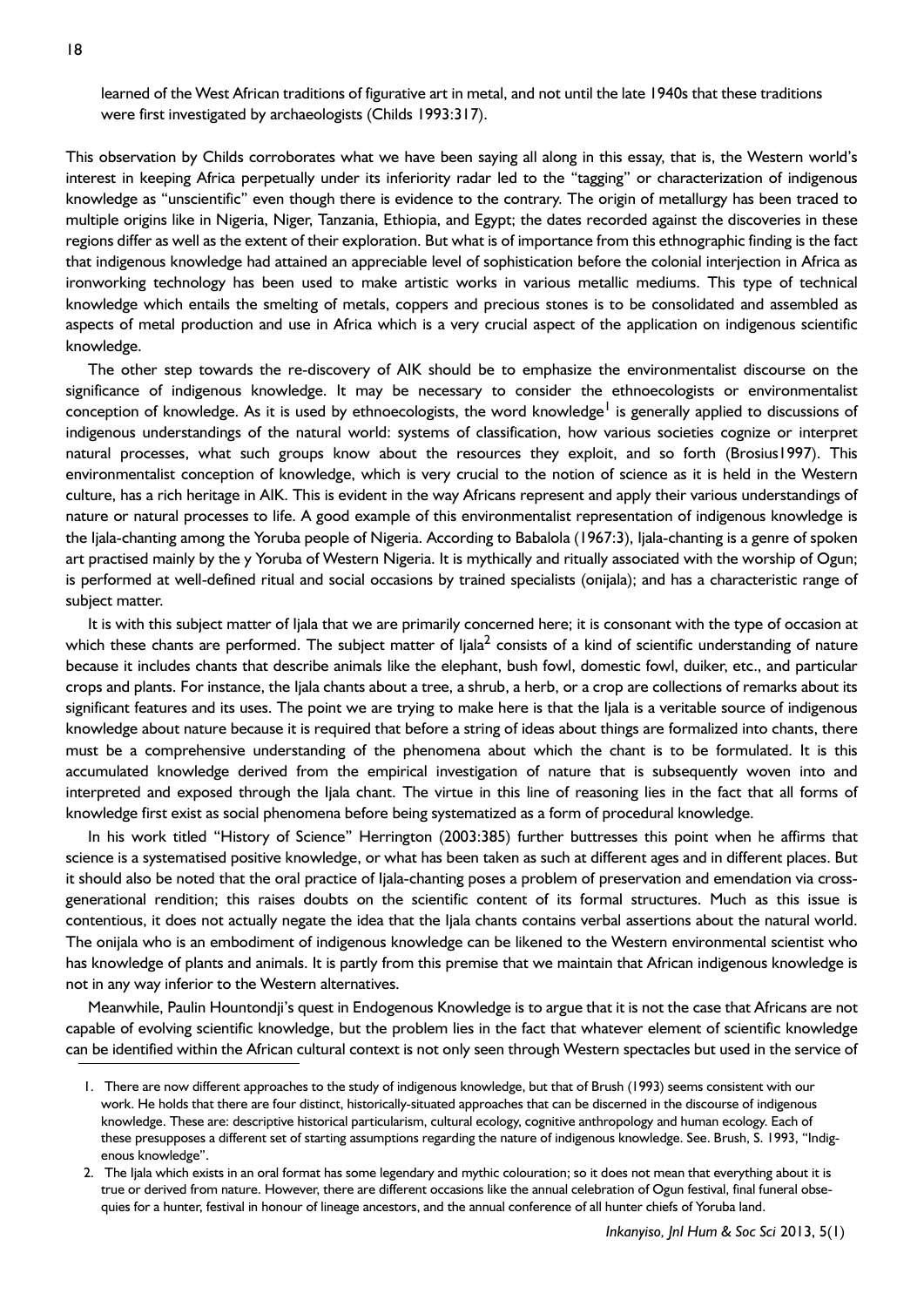learned of the West African traditions of figurative art in metal, and not until the late 1940s that these traditions were first investigated by archaeologists (Childs 1993:317).

This observation by Childs corroborates what we have been saying all along in this essay, that is, the Western world's interest in keeping Africa perpetually under its inferiority radar led to the "tagging" or characterization of indigenous knowledge as "unscientific" even though there is evidence to the contrary. The origin of metallurgy has been traced to multiple origins like in Nigeria, Niger, Tanzania, Ethiopia, and Egypt; the dates recorded against the discoveries in these regions differ as well as the extent of their exploration. But what is of importance from this ethnographic finding is the fact that indigenous knowledge had attained an appreciable level of sophistication before the colonial interjection in Africa as ironworking technology has been used to make artistic works in various metallic mediums. This type of technical knowledge which entails the smelting of metals, coppers and precious stones is to be consolidated and assembled as aspects of metal production and use in Africa which is a very crucial aspect of the application on indigenous scientific knowledge.

The other step towards the re-discovery of AIK should be to emphasize the environmentalist discourse on the significance of indigenous knowledge. It may be necessary to consider the ethnoecologists or environmentalist conception of knowledge. As it is used by ethnoecologists, the word knowledge<sup>l</sup> is generally applied to discussions of indigenous understandings of the natural world: systems of classification, how various societies cognize or interpret natural processes, what such groups know about the resources they exploit, and so forth (Brosius1997). This environmentalist conception of knowledge, which is very crucial to the notion of science as it is held in the Western culture, has a rich heritage in AIK. This is evident in the way Africans represent and apply their various understandings of nature or natural processes to life. A good example of this environmentalist representation of indigenous knowledge is the Ijala-chanting among the Yoruba people of Nigeria. According to Babalola (1967:3), Ijala-chanting is a genre of spoken art practised mainly by the y Yoruba of Western Nigeria. It is mythically and ritually associated with the worship of Ogun; is performed at well-defined ritual and social occasions by trained specialists (onijala); and has a characteristic range of subject matter.

It is with this subject matter of Ijala that we are primarily concerned here; it is consonant with the type of occasion at which these chants are performed. The subject matter of Ijala $^2$  consists of a kind of scientific understanding of nature because it includes chants that describe animals like the elephant, bush fowl, domestic fowl, duiker, etc., and particular crops and plants. For instance, the Ijala chants about a tree, a shrub, a herb, or a crop are collections of remarks about its significant features and its uses. The point we are trying to make here is that the Ijala is a veritable source of indigenous knowledge about nature because it is required that before a string of ideas about things are formalized into chants, there must be a comprehensive understanding of the phenomena about which the chant is to be formulated. It is this accumulated knowledge derived from the empirical investigation of nature that is subsequently woven into and interpreted and exposed through the Ijala chant. The virtue in this line of reasoning lies in the fact that all forms of knowledge first exist as social phenomena before being systematized as a form of procedural knowledge.

In his work titled "History of Science" Herrington (2003:385) further buttresses this point when he affirms that science is a systematised positive knowledge, or what has been taken as such at different ages and in different places. But it should also be noted that the oral practice of Ijala-chanting poses a problem of preservation and emendation via crossgenerational rendition; this raises doubts on the scientific content of its formal structures. Much as this issue is contentious, it does not actually negate the idea that the Ijala chants contains verbal assertions about the natural world. The onijala who is an embodiment of indigenous knowledge can be likened to the Western environmental scientist who has knowledge of plants and animals. It is partly from this premise that we maintain that African indigenous knowledge is not in any way inferior to the Western alternatives.

Meanwhile, Paulin Hountondji's quest in Endogenous Knowledge is to argue that it is not the case that Africans are not capable of evolving scientific knowledge, but the problem lies in the fact that whatever element of scientific knowledge can be identified within the African cultural context is not only seen through Western spectacles but used in the service of

<sup>1.</sup> There are now different approaches to the study of indigenous knowledge, but that of Brush (1993) seems consistent with our work. He holds that there are four distinct, historically-situated approaches that can be discerned in the discourse of indigenous knowledge. These are: descriptive historical particularism, cultural ecology, cognitive anthropology and human ecology. Each of these presupposes a different set of starting assumptions regarding the nature of indigenous knowledge. See. Brush, S. 1993, "Indigenous knowledge".

<sup>2.</sup> The Ijala which exists in an oral format has some legendary and mythic colouration; so it does not mean that everything about it is true or derived from nature. However, there are different occasions like the annual celebration of Ogun festival, final funeral obsequies for a hunter, festival in honour of lineage ancestors, and the annual conference of all hunter chiefs of Yoruba land.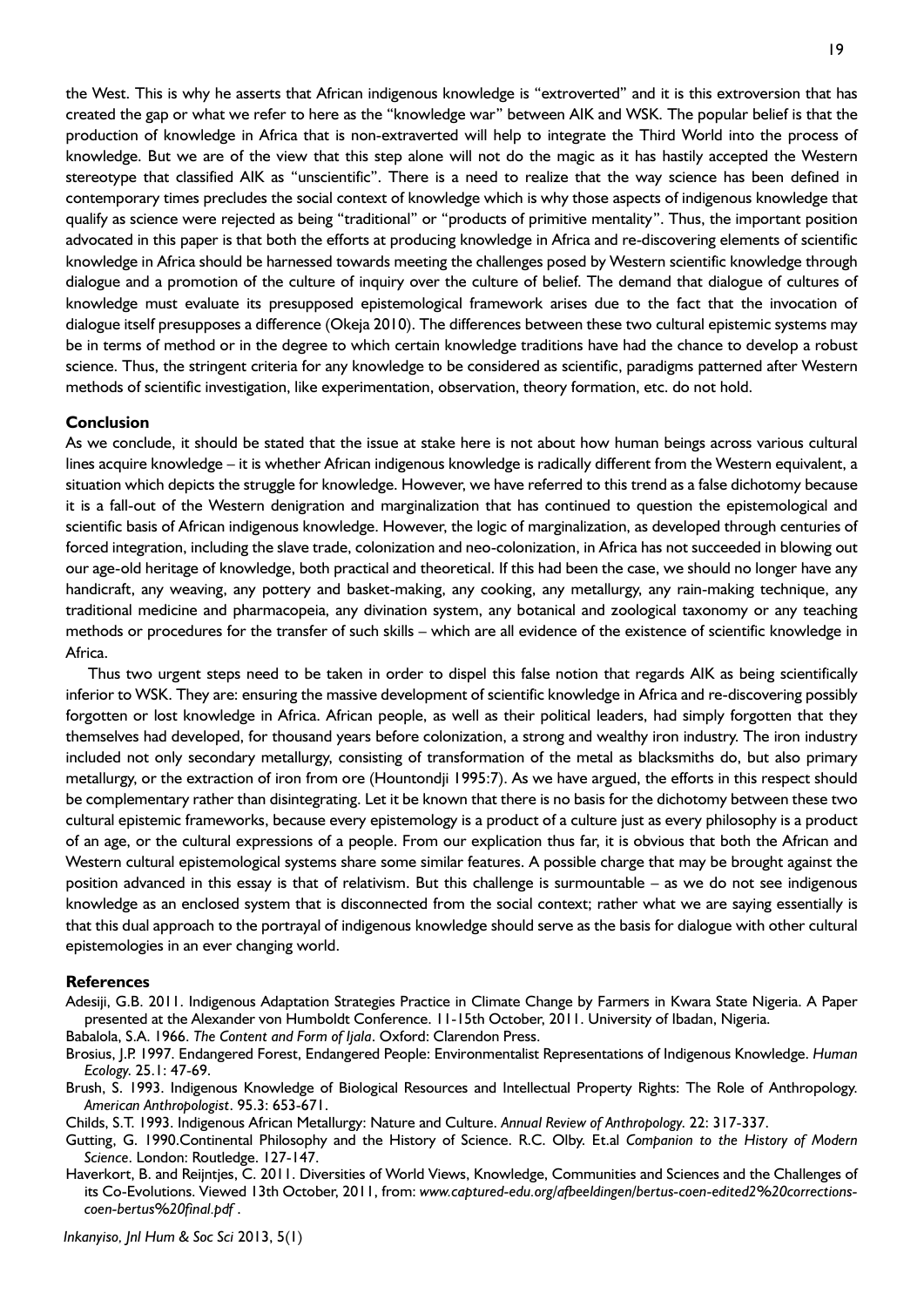the West. This is why he asserts that African indigenous knowledge is "extroverted" and it is this extroversion that has created the gap or what we refer to here as the "knowledge war" between AIK and WSK. The popular belief is that the production of knowledge in Africa that is non-extraverted will help to integrate the Third World into the process of knowledge. But we are of the view that this step alone will not do the magic as it has hastily accepted the Western stereotype that classified AIK as "unscientific". There is a need to realize that the way science has been defined in contemporary times precludes the social context of knowledge which is why those aspects of indigenous knowledge that qualify as science were rejected as being "traditional" or "products of primitive mentality". Thus, the important position advocated in this paper is that both the efforts at producing knowledge in Africa and re-discovering elements of scientific knowledge in Africa should be harnessed towards meeting the challenges posed by Western scientific knowledge through dialogue and a promotion of the culture of inquiry over the culture of belief. The demand that dialogue of cultures of knowledge must evaluate its presupposed epistemological framework arises due to the fact that the invocation of dialogue itself presupposes a difference (Okeja 2010). The differences between these two cultural epistemic systems may be in terms of method or in the degree to which certain knowledge traditions have had the chance to develop a robust science. Thus, the stringent criteria for any knowledge to be considered as scientific, paradigms patterned after Western methods of scientific investigation, like experimentation, observation, theory formation, etc. do not hold.

### **Conclusion**

As we conclude, it should be stated that the issue at stake here is not about how human beings across various cultural lines acquire knowledge – it is whether African indigenous knowledge is radically different from the Western equivalent, a situation which depicts the struggle for knowledge. However, we have referred to this trend as a false dichotomy because it is a fall-out of the Western denigration and marginalization that has continued to question the epistemological and scientific basis of African indigenous knowledge. However, the logic of marginalization, as developed through centuries of forced integration, including the slave trade, colonization and neo-colonization, in Africa has not succeeded in blowing out our age-old heritage of knowledge, both practical and theoretical. If this had been the case, we should no longer have any handicraft, any weaving, any pottery and basket-making, any cooking, any metallurgy, any rain-making technique, any traditional medicine and pharmacopeia, any divination system, any botanical and zoological taxonomy or any teaching methods or procedures for the transfer of such skills – which are all evidence of the existence of scientific knowledge in Africa.

Thus two urgent steps need to be taken in order to dispel this false notion that regards AIK as being scientifically inferior to WSK. They are: ensuring the massive development of scientific knowledge in Africa and re-discovering possibly forgotten or lost knowledge in Africa. African people, as well as their political leaders, had simply forgotten that they themselves had developed, for thousand years before colonization, a strong and wealthy iron industry. The iron industry included not only secondary metallurgy, consisting of transformation of the metal as blacksmiths do, but also primary metallurgy, or the extraction of iron from ore (Hountondji 1995:7). As we have argued, the efforts in this respect should be complementary rather than disintegrating. Let it be known that there is no basis for the dichotomy between these two cultural epistemic frameworks, because every epistemology is a product of a culture just as every philosophy is a product of an age, or the cultural expressions of a people. From our explication thus far, it is obvious that both the African and Western cultural epistemological systems share some similar features. A possible charge that may be brought against the position advanced in this essay is that of relativism. But this challenge is surmountable – as we do not see indigenous knowledge as an enclosed system that is disconnected from the social context; rather what we are saying essentially is that this dual approach to the portrayal of indigenous knowledge should serve as the basis for dialogue with other cultural epistemologies in an ever changing world.

#### **References**

- Adesiji, G.B. 2011. Indigenous Adaptation Strategies Practice in Climate Change by Farmers in Kwara State Nigeria. A Paper presented at the Alexander von Humboldt Conference. 11-15th October, 2011. University of Ibadan, Nigeria.
- Babalola, S.A. 1966. *The Content and Form of Ijala*. Oxford: Clarendon Press.
- Brosius, J.P. 1997. Endangered Forest, Endangered People: Environmentalist Representations of Indigenous Knowledge. *Human Ecology*. 25.1: 47-69.
- Brush, S. 1993. Indigenous Knowledge of Biological Resources and Intellectual Property Rights: The Role of Anthropology. *American Anthropologist*. 95.3: 653-671.
- Childs, S.T. 1993. Indigenous African Metallurgy: Nature and Culture. *Annual Review of Anthropology*. 22: 317-337.
- Gutting, G. 1990.Continental Philosophy and the History of Science. R.C. Olby. Et.al *Companion to the History of Modern Science*. London: Routledge. 127-147.
- Haverkort, B. and Reijntjes, C. 2011. Diversities of World Views, Knowledge, Communities and Sciences and the Challenges of its Co-Evolutions. Viewed 13th October, 2011, from: *www.captured-edu.org/afbeeldingen/bertus-coen-edited2%20correctionscoen-bertus%20final.pdf* .